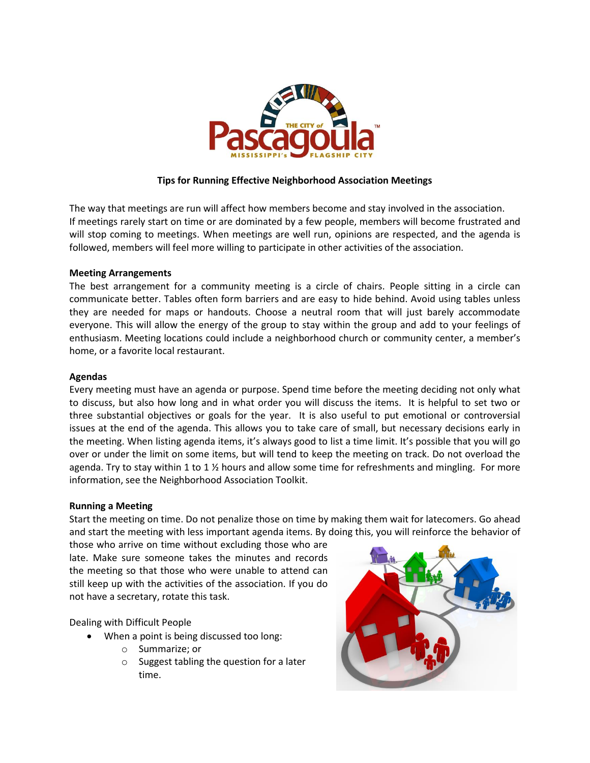

# **Tips for Running Effective Neighborhood Association Meetings**

The way that meetings are run will affect how members become and stay involved in the association. If meetings rarely start on time or are dominated by a few people, members will become frustrated and will stop coming to meetings. When meetings are well run, opinions are respected, and the agenda is followed, members will feel more willing to participate in other activities of the association.

### **Meeting Arrangements**

The best arrangement for a community meeting is a circle of chairs. People sitting in a circle can communicate better. Tables often form barriers and are easy to hide behind. Avoid using tables unless they are needed for maps or handouts. Choose a neutral room that will just barely accommodate everyone. This will allow the energy of the group to stay within the group and add to your feelings of enthusiasm. Meeting locations could include a neighborhood church or community center, a member's home, or a favorite local restaurant.

### **Agendas**

Every meeting must have an agenda or purpose. Spend time before the meeting deciding not only what to discuss, but also how long and in what order you will discuss the items. It is helpful to set two or three substantial objectives or goals for the year. It is also useful to put emotional or controversial issues at the end of the agenda. This allows you to take care of small, but necessary decisions early in the meeting. When listing agenda items, it's always good to list a time limit. It's possible that you will go over or under the limit on some items, but will tend to keep the meeting on track. Do not overload the agenda. Try to stay within 1 to 1 % hours and allow some time for refreshments and mingling. For more information, see the Neighborhood Association Toolkit.

#### **Running a Meeting**

Start the meeting on time. Do not penalize those on time by making them wait for latecomers. Go ahead and start the meeting with less important agenda items. By doing this, you will reinforce the behavior of

those who arrive on time without excluding those who are late. Make sure someone takes the minutes and records the meeting so that those who were unable to attend can still keep up with the activities of the association. If you do not have a secretary, rotate this task.

Dealing with Difficult People

- When a point is being discussed too long:
	- o Summarize; or
	- o Suggest tabling the question for a later time.